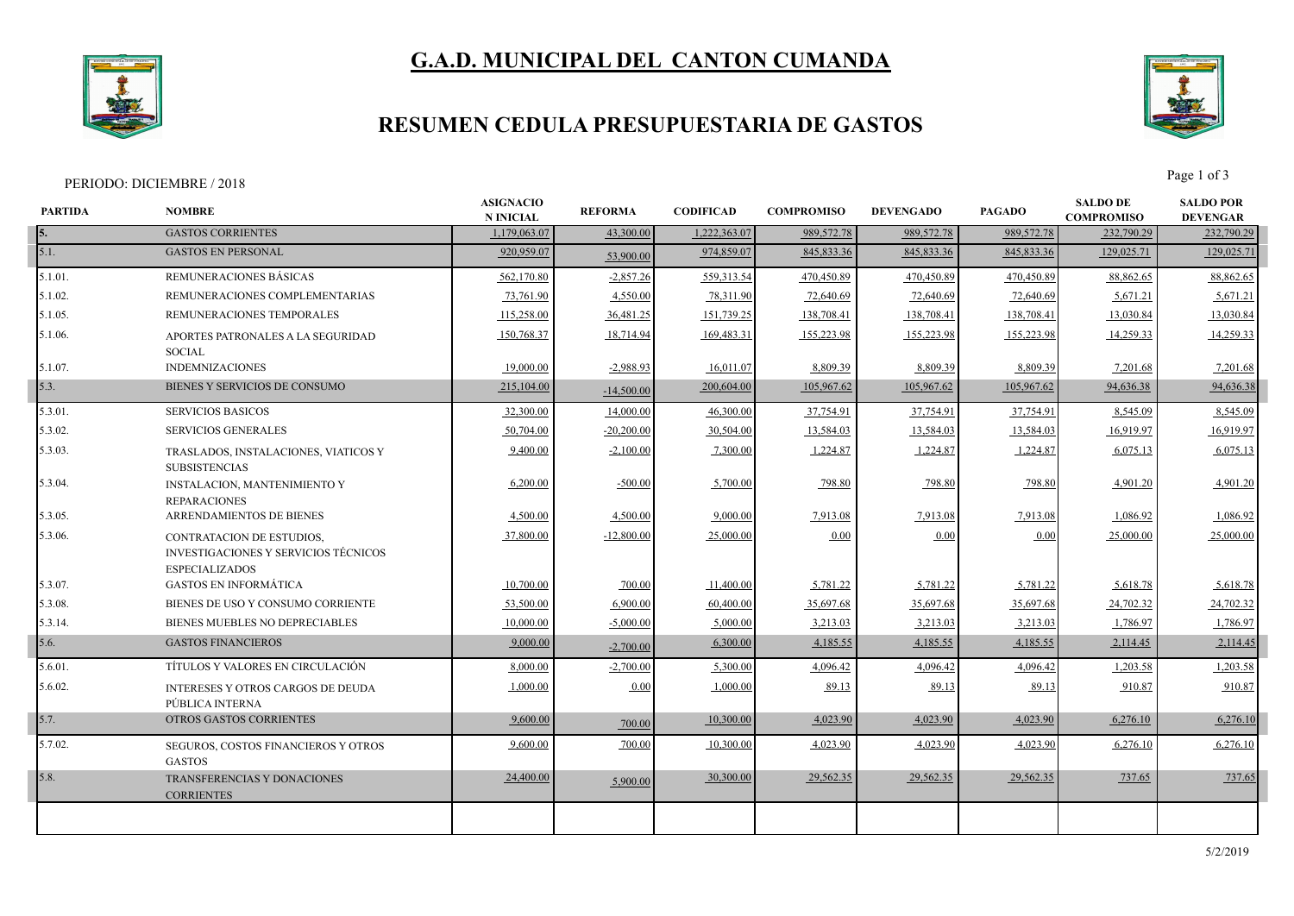# **G.A.D. MUNICIPAL DEL CANTON CUMANDA**



### **RESUMEN CEDULA PRESUPUESTARIA DE GASTOS**



PERIODO: DICIEMBRE / 2018 Page 1 of 3

| <b>PARTIDA</b> | <b>NOMBRE</b>                                                        | <b>ASIGNACIO</b><br><b>N INICIAL</b> | <b>REFORMA</b> | <b>CODIFICAD</b> | <b>COMPROMISO</b> | <b>DEVENGADO</b> | <b>PAGADO</b> | <b>SALDO DE</b><br><b>COMPROMISO</b> | <b>SALDO POR</b><br><b>DEVENGAR</b> |
|----------------|----------------------------------------------------------------------|--------------------------------------|----------------|------------------|-------------------|------------------|---------------|--------------------------------------|-------------------------------------|
| 5.             | <b>GASTOS CORRIENTES</b>                                             | 1,179,063.07                         | 43,300.00      | 1,222,363.07     | 989,572.78        | 989,572.78       | 989,572.78    | 232,790.29                           | 232,790.29                          |
| 5.1.           | <b>GASTOS EN PERSONAL</b>                                            | 920,959.07                           | 53,900.00      | 974,859.07       | 845, 833.36       | 845, 833.36      | 845, 833.36   | 129,025.71                           | 129,025.71                          |
| 5.1.01.        | REMUNERACIONES BÁSICAS                                               | 562,170.80                           | $-2,857.26$    | 559,313.54       | 470,450.89        | 470,450.89       | 470,450.89    | 88,862.65                            | 88,862.65                           |
| $5.1.02$ .     | REMUNERACIONES COMPLEMENTARIAS                                       | 73,761.90                            | 4,550.00       | 78,311.90        | 72,640.69         | 72,640.69        | 72,640.69     | 5,671.21                             | 5,671.21                            |
| 5.1.05.        | REMUNERACIONES TEMPORALES                                            | 115,258.00                           | 36,481.25      | 151,739.25       | 138,708.41        | 138,708.41       | 138,708.41    | 13,030.84                            | 13,030.84                           |
| 5.1.06.        | APORTES PATRONALES A LA SEGURIDAD<br><b>SOCIAL</b>                   | 150,768.37                           | 18,714.94      | 169,483.31       | 155,223.98        | 155,223.98       | 155,223.98    | 14,259.33                            | 14,259.33                           |
| 5.1.07.        | <b>INDEMNIZACIONES</b>                                               | 19,000.00                            | $-2,988.93$    | 16,011.07        | 8,809.39          | 8,809.39         | 8,809.39      | 7,201.68                             | 7,201.68                            |
| 5.3.           | BIENES Y SERVICIOS DE CONSUMO                                        | 215,104.00                           | $-14,500,00$   | 200,604.00       | 105,967.62        | 105,967.62       | 105,967.62    | 94,636.38                            | 94,636.38                           |
| 5.3.01.        | <b>SERVICIOS BASICOS</b>                                             | 32,300.00                            | 14,000.00      | 46,300.00        | 37,754.91         | 37,754.91        | 37,754.91     | 8,545.09                             | 8,545.09                            |
| 5.3.02.        | <b>SERVICIOS GENERALES</b>                                           | 50,704.00                            | $-20,200.00$   | 30,504.00        | 13,584.03         | 13,584.03        | 13,584.03     | 16,919.97                            | 16,919.97                           |
| 5.3.03.        | TRASLADOS, INSTALACIONES, VIATICOS Y<br><b>SUBSISTENCIAS</b>         | 9,400.00                             | $-2,100.00$    | 7,300.00         | 1,224.87          | 1,224.87         | 1,224.87      | 6,075.13                             | 6,075.13                            |
| 5.3.04.        | <b>INSTALACION, MANTENIMIENTO Y</b><br><b>REPARACIONES</b>           | 6,200.00                             | $-500.00$      | 5,700.00         | 798.80            | 798.80           | 798.80        | 4,901.20                             | 4,901.20                            |
| 5.3.05.        | ARRENDAMIENTOS DE BIENES                                             | 4,500.00                             | 4,500.00       | 9,000.00         | 7,913.08          | 7,913.08         | 7,913.08      | 1,086.92                             | 1,086.92                            |
| 5.3.06.        | CONTRATACION DE ESTUDIOS,                                            | 37,800.00                            | $-12,800.00$   | 25,000.00        | 0.00              | $0.00\,$         | 0.00          | 25,000.00                            | 25,000.00                           |
|                | <b>INVESTIGACIONES Y SERVICIOS TÉCNICOS</b><br><b>ESPECIALIZADOS</b> |                                      |                |                  |                   |                  |               |                                      |                                     |
| 5.3.07.        | <b>GASTOS EN INFORMÁTICA</b>                                         | 10,700.00                            | 700.00         | 11,400.00        | 5,781.22          | 5,781.22         | 5,781.22      | 5,618.78                             | 5,618.78                            |
| 5.3.08.        | BIENES DE USO Y CONSUMO CORRIENTE                                    | 53,500.00                            | 6,900.00       | 60,400.00        | 35,697.68         | 35,697.68        | 35,697.68     | 24,702.32                            | 24,702.32                           |
| 5.3.14.        | BIENES MUEBLES NO DEPRECIABLES                                       | 10,000.00                            | $-5,000,00$    | 5,000.00         | 3,213.03          | 3,213.03         | 3,213.03      | 1,786.97                             | 1,786.97                            |
| 5.6.           | <b>GASTOS FINANCIEROS</b>                                            | 9,000.00                             | $-2,700.00$    | 6,300.00         | 4,185.55          | 4,185.55         | 4,185.55      | 2,114.45                             | 2,114.45                            |
| 5.6.01.        | TÍTULOS Y VALORES EN CIRCULACIÓN                                     | 8,000.00                             | $-2,700.00$    | 5,300.00         | 4,096.42          | 4,096.42         | 4,096.42      | 1,203.58                             | 1,203.58                            |
| 5.6.02.        | <b>INTERESES Y OTROS CARGOS DE DEUDA</b><br>PÚBLICA INTERNA          | 1,000.00                             | 0.00           | 1,000.00         | 89.13             | 89.13            | 89.13         | 910.87                               | 910.87                              |
| 5.7.           | OTROS GASTOS CORRIENTES                                              | 9,600.00                             | 700.00         | 10,300.00        | 4.023.90          | 4,023.90         | 4,023.90      | 6,276.10                             | 6,276.10                            |
| 5.7.02.        | <b>SEGUROS, COSTOS FINANCIEROS Y OTROS</b><br><b>GASTOS</b>          | 9,600.00                             | 700.00         | 10,300.00        | 4.023.90          | 4,023.90         | 4.023.90      | 6,276.10                             | 6,276.10                            |
| 5.8.           | <b>TRANSFERENCIAS Y DONACIONES</b><br><b>CORRIENTES</b>              | 24,400.00                            | 5,900.00       | 30,300.00        | 29,562.35         | 29,562.35        | 29,562.35     | 737.65                               | 737.65                              |
|                |                                                                      |                                      |                |                  |                   |                  |               |                                      |                                     |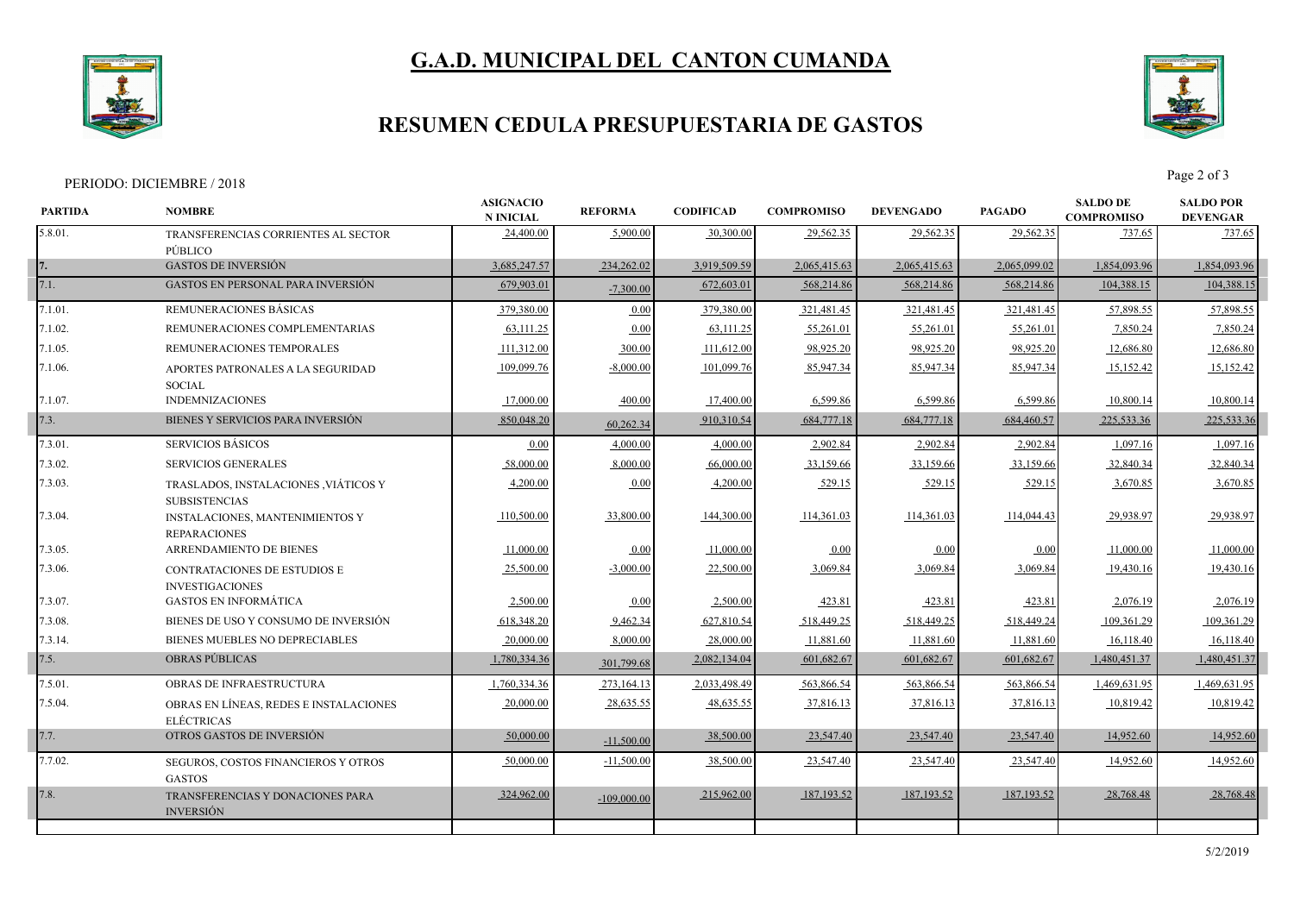# **G.A.D. MUNICIPAL DEL CANTON CUMANDA**



### **RESUMEN CEDULA PRESUPUESTARIA DE GASTOS**



#### PERIODO: DICIEMBRE / 2018 Page 2 of 3

| <b>PARTIDA</b> | <b>NOMBRE</b>                                                                         | <b>ASIGNACIO</b><br><b>N INICIAL</b> | <b>REFORMA</b> | <b>CODIFICAD</b> | <b>COMPROMISO</b> | <b>DEVENGADO</b> | <b>PAGADO</b> | <b>SALDO DE</b><br><b>COMPROMISO</b> | <b>SALDO POR</b><br><b>DEVENGAR</b> |
|----------------|---------------------------------------------------------------------------------------|--------------------------------------|----------------|------------------|-------------------|------------------|---------------|--------------------------------------|-------------------------------------|
| 5.8.01.        | TRANSFERENCIAS CORRIENTES AL SECTOR<br>PÚBLICO                                        | 24,400.00                            | 5,900.00       | 30,300.00        | 29,562.35         | 29,562.35        | 29,562.35     | 737.65                               | 737.65                              |
|                | <b>GASTOS DE INVERSIÓN</b>                                                            | 3,685,247.57                         | 234,262.02     | 3,919,509.59     | 2,065,415.63      | 2,065,415.63     | 2,065,099.02  | 1,854,093.96                         | 1,854,093.96                        |
| 7.1.           | <b>GASTOS EN PERSONAL PARA INVERSIÓN</b>                                              | 679,903.01                           | $-7,300.00$    | 672,603.01       | 568,214.86        | 568,214.86       | 568,214.86    | 104,388.15                           | 104,388.15                          |
| 7.1.01.        | REMUNERACIONES BÁSICAS                                                                | 379,380.00                           | 0.00           | 379,380.00       | 321,481.45        | 321,481.45       | 321,481.45    | 57,898.55                            | 57,898.55                           |
| 7.1.02.        | REMUNERACIONES COMPLEMENTARIAS                                                        | 63,111.25                            | 0.00           | 63,111.25        | 55,261.01         | 55,261.0         | 55,261.0      | 7,850.24                             | 7,850.24                            |
| 7.1.05.        | REMUNERACIONES TEMPORALES                                                             | 111,312.00                           | 300.00         | 111,612.00       | 98,925.20         | 98,925.20        | 98,925.20     | 12,686.80                            | 12,686.80                           |
| 7.1.06.        | APORTES PATRONALES A LA SEGURIDAD<br><b>SOCIAL</b>                                    | 109,099.76                           | $-8,000.00$    | 101,099.76       | 85,947.34         | 85,947.34        | 85,947.34     | 15,152.42                            | 15,152.42                           |
| 7.1.07.        | <b>INDEMNIZACIONES</b>                                                                | 17,000.00                            | 400.00         | 17,400.00        | 6,599.86          | 6,599.86         | 6,599.86      | 10,800.14                            | 10,800.14                           |
| 7.3.           | BIENES Y SERVICIOS PARA INVERSIÓN                                                     | 850,048.20                           | 60,262.34      | 910,310.54       | 684,777.18        | 684,777.18       | 684,460.57    | 225,533.36                           | 225,533.36                          |
| 7.3.01.        | <b>SERVICIOS BÁSICOS</b>                                                              | 0.00                                 | 4,000.00       | 4.000.00         | 2,902.84          | 2,902.84         | 2,902.84      | 1,097.16                             | 1,097.16                            |
| 7.3.02.        | <b>SERVICIOS GENERALES</b>                                                            | 58,000.00                            | 8,000.00       | 66,000.00        | 33,159.66         | 33,159.66        | 33,159.66     | 32,840.34                            | 32,840.34                           |
| 7.3.03.        | TRASLADOS, INSTALACIONES , VIÁTICOS Y                                                 | 4,200.00                             | 0.00           | 4,200.00         | 529.15            | 529.15           | 529.15        | 3,670.85                             | 3,670.85                            |
| 7.3.04.        | <b>SUBSISTENCIAS</b><br><b>INSTALACIONES, MANTENIMIENTOS Y</b><br><b>REPARACIONES</b> | 110,500.00                           | 33,800.00      | 144,300.00       | 114,361.03        | 114,361.03       | 114,044.43    | 29,938.97                            | 29,938.97                           |
| 7.3.05.        | <b>ARRENDAMIENTO DE BIENES</b>                                                        | 11,000.00                            | 0.00           | 11,000.00        | 0.00              | 0.00             | 0.00          | 11,000.00                            | 11,000.00                           |
| 7.3.06.        | CONTRATACIONES DE ESTUDIOS E<br><b>INVESTIGACIONES</b>                                | 25,500.00                            | $-3,000.00$    | 22,500.00        | 3,069.84          | 3,069.84         | 3,069.84      | 19,430.16                            | 19,430.16                           |
| 7.3.07.        | <b>GASTOS EN INFORMÁTICA</b>                                                          | 2,500.00                             | 0.00           | 2,500.00         | 423.81            | 423.81           | 423.81        | 2,076.19                             | 2,076.19                            |
| 7.3.08.        | BIENES DE USO Y CONSUMO DE INVERSIÓN                                                  | 618,348.20                           | 9,462.34       | 627,810.54       | 518,449.25        | 518,449.25       | 518,449.24    | 109,361.29                           | 109,361.29                          |
| 7.3.14.        | BIENES MUEBLES NO DEPRECIABLES                                                        | 20,000.00                            | 8,000.00       | 28,000.00        | 11,881.60         | 11,881.60        | 11,881.60     | 16,118.40                            | 16,118.40                           |
| 7.5.           | <b>OBRAS PUBLICAS</b>                                                                 | 1,780,334.36                         | 301,799.68     | 2,082,134.04     | 601,682.67        | 601,682.67       | 601,682.67    | 1,480,451.37                         | 1,480,451.37                        |
| 7.5.01.        | <b>OBRAS DE INFRAESTRUCTURA</b>                                                       | 1,760,334.36                         | 273,164.13     | 2,033,498.49     | 563,866.54        | 563,866.54       | 563,866.54    | 1,469,631.95                         | 1,469,631.95                        |
| 7.5.04.        | OBRAS EN LÍNEAS, REDES E INSTALACIONES<br><b>ELÉCTRICAS</b>                           | 20,000.00                            | 28,635.55      | 48,635.55        | 37,816.13         | 37,816.13        | 37,816.13     | 10,819.42                            | 10,819.42                           |
| 7.7.           | OTROS GASTOS DE INVERSIÓN                                                             | 50,000.00                            | $-11,500.00$   | 38,500.00        | 23,547.40         | 23,547.40        | 23,547.40     | 14,952.60                            | 14,952.60                           |
| 7.7.02.        | SEGUROS, COSTOS FINANCIEROS Y OTROS<br><b>GASTOS</b>                                  | 50,000.00                            | $-11,500.00$   | 38,500.00        | 23,547.40         | 23,547.40        | 23,547.40     | 14,952.60                            | 14,952.60                           |
| 7.8.           | TRANSFERENCIAS Y DONACIONES PARA<br><b>INVERSIÓN</b>                                  | 324,962.00                           | $-109,000,00$  | 215,962.00       | 187, 193.52       | 187, 193.52      | 187, 193.52   | 28,768.48                            | 28,768.48                           |
|                |                                                                                       |                                      |                |                  |                   |                  |               |                                      |                                     |
|                |                                                                                       |                                      |                |                  |                   |                  |               |                                      |                                     |